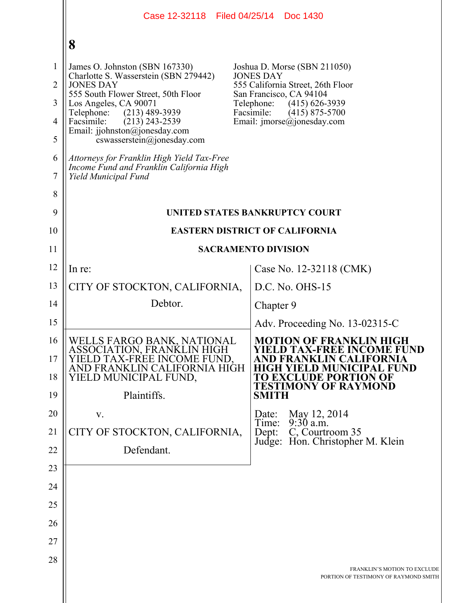|                                                       | Case 12-32118 Filed 04/25/14<br>Doc 1430                                                                                                                                                                                        |                                                                                                                                                                                                                                |  |  |  |  |  |  |
|-------------------------------------------------------|---------------------------------------------------------------------------------------------------------------------------------------------------------------------------------------------------------------------------------|--------------------------------------------------------------------------------------------------------------------------------------------------------------------------------------------------------------------------------|--|--|--|--|--|--|
|                                                       | 8                                                                                                                                                                                                                               |                                                                                                                                                                                                                                |  |  |  |  |  |  |
| $\mathbf{1}$<br>$\overline{2}$<br>3<br>$\overline{4}$ | James O. Johnston (SBN 167330)<br>Charlotte S. Wasserstein (SBN 279442)<br><b>JONES DAY</b><br>555 South Flower Street, 50th Floor<br>Los Angeles, CA 90071<br>Telephone:<br>$(213)$ 489-3939<br>Facsimile:<br>$(213)$ 243-2539 | Joshua D. Morse (SBN 211050)<br><b>JONES DAY</b><br>555 California Street, 26th Floor<br>San Francisco, CA 94104<br>Telephone:<br>$(415)$ 626-3939<br>Facsimile:<br>$(415)$ 875-5700<br>Email: $\text{imorse}(a)$ jonesday.com |  |  |  |  |  |  |
| 5                                                     | Email: jjohnston@jonesday.com<br>$coswasserstein(\theta)$ ionesday.com                                                                                                                                                          |                                                                                                                                                                                                                                |  |  |  |  |  |  |
| 6<br>7                                                | Attorneys for Franklin High Yield Tax-Free<br>Income Fund and Franklin California High<br>Yield Municipal Fund                                                                                                                  |                                                                                                                                                                                                                                |  |  |  |  |  |  |
| 8<br>9                                                |                                                                                                                                                                                                                                 | UNITED STATES BANKRUPTCY COURT                                                                                                                                                                                                 |  |  |  |  |  |  |
| 10                                                    | <b>EASTERN DISTRICT OF CALIFORNIA</b>                                                                                                                                                                                           |                                                                                                                                                                                                                                |  |  |  |  |  |  |
| 11                                                    | <b>SACRAMENTO DIVISION</b>                                                                                                                                                                                                      |                                                                                                                                                                                                                                |  |  |  |  |  |  |
| 12                                                    | In re:                                                                                                                                                                                                                          | Case No. 12-32118 (CMK)                                                                                                                                                                                                        |  |  |  |  |  |  |
| 13                                                    | CITY OF STOCKTON, CALIFORNIA,                                                                                                                                                                                                   | $D.C. No. OHS-15$                                                                                                                                                                                                              |  |  |  |  |  |  |
| 14                                                    | Debtor.                                                                                                                                                                                                                         | Chapter 9                                                                                                                                                                                                                      |  |  |  |  |  |  |
| 15                                                    |                                                                                                                                                                                                                                 | Adv. Proceeding No. 13-02315-C                                                                                                                                                                                                 |  |  |  |  |  |  |
| 16<br>17<br>18                                        | WELLS FARGO BANK, NATIONAL<br>ASSOCIATION, FRANKLIN HIGH<br>D TAX-FREE INCOME FUND.<br>AND FRANKLIN CALIFORNIA HIGH<br>YIELD MUNICIPAL FUND,                                                                                    | <b>MOTION OF FRANKLIN HIGH</b><br><b>YIELD TAX-FREE INCOME FUND</b><br>FORNIA<br>D MUNICIPAL FUND<br>TO EXCLUDE PORTION OF<br><b>TESTIMONY OF RAYMOND</b>                                                                      |  |  |  |  |  |  |
| 19                                                    | Plaintiffs.                                                                                                                                                                                                                     | <b>SMITH</b>                                                                                                                                                                                                                   |  |  |  |  |  |  |
| 20<br>21                                              | V.<br>CITY OF STOCKTON, CALIFORNIA,                                                                                                                                                                                             | May 12, 2014<br>Date:<br>$9:30$ a.m.<br>Time:<br>C, Courtroom 35<br>Dept:                                                                                                                                                      |  |  |  |  |  |  |
| 22                                                    | Defendant.                                                                                                                                                                                                                      | Judge: Hon. Christopher M. Klein                                                                                                                                                                                               |  |  |  |  |  |  |
| 23                                                    |                                                                                                                                                                                                                                 |                                                                                                                                                                                                                                |  |  |  |  |  |  |
| 24                                                    |                                                                                                                                                                                                                                 |                                                                                                                                                                                                                                |  |  |  |  |  |  |
| 25                                                    |                                                                                                                                                                                                                                 |                                                                                                                                                                                                                                |  |  |  |  |  |  |
| 26                                                    |                                                                                                                                                                                                                                 |                                                                                                                                                                                                                                |  |  |  |  |  |  |
| 27                                                    |                                                                                                                                                                                                                                 |                                                                                                                                                                                                                                |  |  |  |  |  |  |
| 28                                                    |                                                                                                                                                                                                                                 | FRANKLIN'S MOTION TO EXCLUDE<br>PORTION OF TESTIMONY OF RAYMOND SMITH                                                                                                                                                          |  |  |  |  |  |  |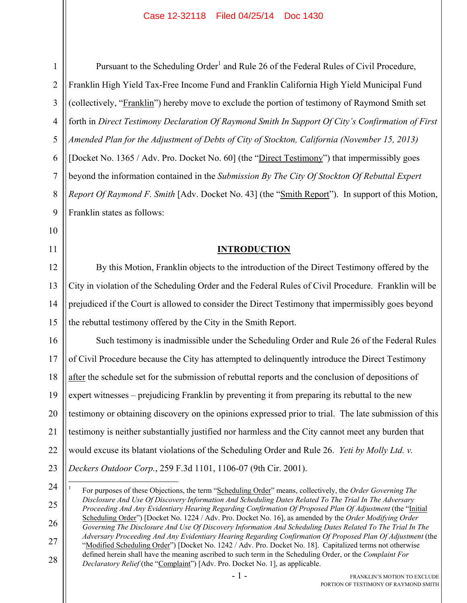1

2

3

5

6

7

8

9

10

11

12

13

14

15

Pursuant to the Scheduling Order<sup>1</sup> and Rule 26 of the Federal Rules of Civil Procedure, Franklin High Yield Tax-Free Income Fund and Franklin California High Yield Municipal Fund (collectively, "Franklin") hereby move to exclude the portion of testimony of Raymond Smith set forth in *Direct Testimony Declaration Of Raymond Smith In Support Of City's Confirmation of First Amended Plan for the Adjustment of Debts of City of Stockton, California (November 15, 2013)* [Docket No. 1365 / Adv. Pro. Docket No. 60] (the "Direct Testimony") that impermissibly goes beyond the information contained in the *Submission By The City Of Stockton Of Rebuttal Expert Report Of Raymond F. Smith* [Adv. Docket No. 43] (the "Smith Report"). In support of this Motion, Franklin states as follows:

### **INTRODUCTION**

By this Motion, Franklin objects to the introduction of the Direct Testimony offered by the City in violation of the Scheduling Order and the Federal Rules of Civil Procedure. Franklin will be prejudiced if the Court is allowed to consider the Direct Testimony that impermissibly goes beyond the rebuttal testimony offered by the City in the Smith Report.

16 17 18 19 20 21 22 23 Such testimony is inadmissible under the Scheduling Order and Rule 26 of the Federal Rules of Civil Procedure because the City has attempted to delinquently introduce the Direct Testimony after the schedule set for the submission of rebuttal reports and the conclusion of depositions of expert witnesses – prejudicing Franklin by preventing it from preparing its rebuttal to the new testimony or obtaining discovery on the opinions expressed prior to trial. The late submission of this testimony is neither substantially justified nor harmless and the City cannot meet any burden that would excuse its blatant violations of the Scheduling Order and Rule 26. *Yeti by Molly Ltd. v. Deckers Outdoor Corp.*, 259 F.3d 1101, 1106-07 (9th Cir. 2001).

 $\overline{a}$ 

25 26 27 28 1 For purposes of these Objections, the term "Scheduling Order" means, collectively, the *Order Governing The Disclosure And Use Of Discovery Information And Scheduling Dates Related To The Trial In The Adversary Proceeding And Any Evidentiary Hearing Regarding Confirmation Of Proposed Plan Of Adjustment* (the "Initial Scheduling Order") [Docket No. 1224 / Adv. Pro. Docket No. 16], as amended by the *Order Modifying Order Governing The Disclosure And Use Of Discovery Information And Scheduling Dates Related To The Trial In The Adversary Proceeding And Any Evidentiary Hearing Regarding Confirmation Of Proposed Plan Of Adjustment* (the "Modified Scheduling Order") [Docket No. 1242 / Adv. Pro. Docket No. 18]. Capitalized terms not otherwise defined herein shall have the meaning ascribed to such term in the Scheduling Order, or the *Complaint For Declaratory Relief* (the "*Complaint*") [Adv. Pro. Docket No. 1], as applicable.

<sup>24</sup>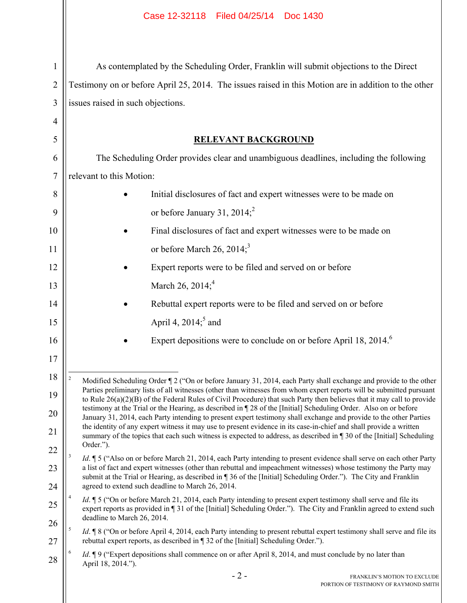$\mathsf{I}$ 

| 1              | As contemplated by the Scheduling Order, Franklin will submit objections to the Direct                                                                                                                                                                                       |  |  |  |  |  |  |  |
|----------------|------------------------------------------------------------------------------------------------------------------------------------------------------------------------------------------------------------------------------------------------------------------------------|--|--|--|--|--|--|--|
| $\overline{2}$ | Testimony on or before April 25, 2014. The issues raised in this Motion are in addition to the other                                                                                                                                                                         |  |  |  |  |  |  |  |
| 3              | issues raised in such objections.                                                                                                                                                                                                                                            |  |  |  |  |  |  |  |
| $\overline{4}$ |                                                                                                                                                                                                                                                                              |  |  |  |  |  |  |  |
| 5              | <b>RELEVANT BACKGROUND</b>                                                                                                                                                                                                                                                   |  |  |  |  |  |  |  |
| 6              | The Scheduling Order provides clear and unambiguous deadlines, including the following                                                                                                                                                                                       |  |  |  |  |  |  |  |
| $\tau$         | relevant to this Motion:                                                                                                                                                                                                                                                     |  |  |  |  |  |  |  |
| 8              | Initial disclosures of fact and expert witnesses were to be made on                                                                                                                                                                                                          |  |  |  |  |  |  |  |
| 9              | or before January 31, 2014; <sup>2</sup>                                                                                                                                                                                                                                     |  |  |  |  |  |  |  |
| 10             | Final disclosures of fact and expert witnesses were to be made on                                                                                                                                                                                                            |  |  |  |  |  |  |  |
| 11             | or before March 26, 2014; <sup>3</sup>                                                                                                                                                                                                                                       |  |  |  |  |  |  |  |
| 12             | Expert reports were to be filed and served on or before                                                                                                                                                                                                                      |  |  |  |  |  |  |  |
| 13             | March 26, 2014; <sup>4</sup>                                                                                                                                                                                                                                                 |  |  |  |  |  |  |  |
| 14             | Rebuttal expert reports were to be filed and served on or before                                                                                                                                                                                                             |  |  |  |  |  |  |  |
| 15             | April 4, $2014$ <sup>5</sup> and                                                                                                                                                                                                                                             |  |  |  |  |  |  |  |
| 16             | Expert depositions were to conclude on or before April 18, 2014. <sup>6</sup>                                                                                                                                                                                                |  |  |  |  |  |  |  |
| 17             |                                                                                                                                                                                                                                                                              |  |  |  |  |  |  |  |
| 18             | $\sqrt{2}$<br>Modified Scheduling Order ¶ 2 ("On or before January 31, 2014, each Party shall exchange and provide to the other                                                                                                                                              |  |  |  |  |  |  |  |
| 19             | Parties preliminary lists of all witnesses (other than witnesses from whom expert reports will be submitted pursuant<br>to Rule $26(a)(2)(B)$ of the Federal Rules of Civil Procedure) that such Party then believes that it may call to provide                             |  |  |  |  |  |  |  |
| 20             | testimony at the Trial or the Hearing, as described in 128 of the [Initial] Scheduling Order. Also on or before<br>January 31, 2014, each Party intending to present expert testimony shall exchange and provide to the other Parties                                        |  |  |  |  |  |  |  |
| 21             | the identity of any expert witness it may use to present evidence in its case-in-chief and shall provide a written<br>summary of the topics that each such witness is expected to address, as described in 130 of the [Initial] Scheduling                                   |  |  |  |  |  |  |  |
| 22             | Order.").<br>3<br>Id. ¶ 5 ("Also on or before March 21, 2014, each Party intending to present evidence shall serve on each other Party                                                                                                                                       |  |  |  |  |  |  |  |
| 23             | a list of fact and expert witnesses (other than rebuttal and impeachment witnesses) whose testimony the Party may<br>submit at the Trial or Hearing, as described in 136 of the [Initial] Scheduling Order."). The City and Franklin                                         |  |  |  |  |  |  |  |
| 24             | agreed to extend such deadline to March 26, 2014.                                                                                                                                                                                                                            |  |  |  |  |  |  |  |
| 25             | <i>Id.</i> 15 ("On or before March 21, 2014, each Party intending to present expert testimony shall serve and file its<br>expert reports as provided in 131 of the [Initial] Scheduling Order."). The City and Franklin agreed to extend such<br>deadline to March 26, 2014. |  |  |  |  |  |  |  |
| 26<br>27       | 5<br><i>Id.</i> <b>18</b> ("On or before April 4, 2014, each Party intending to present rebuttal expert testimony shall serve and file its<br>rebuttal expert reports, as described in ¶ 32 of the [Initial] Scheduling Order.").                                            |  |  |  |  |  |  |  |
| 28             | 6<br><i>Id.</i> 19 ("Expert depositions shall commence on or after April 8, 2014, and must conclude by no later than<br>April 18, 2014.").                                                                                                                                   |  |  |  |  |  |  |  |
|                | $-2-$<br>FRANKLIN'S MOTION TO EXCLUDE                                                                                                                                                                                                                                        |  |  |  |  |  |  |  |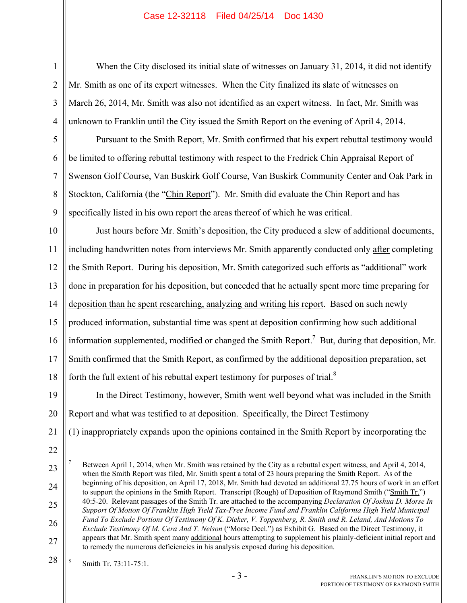#### Case 12-32118 Filed 04/25/14 Doc 1430

When the City disclosed its initial slate of witnesses on January 31, 2014, it did not identify Mr. Smith as one of its expert witnesses. When the City finalized its slate of witnesses on March 26, 2014, Mr. Smith was also not identified as an expert witness. In fact, Mr. Smith was unknown to Franklin until the City issued the Smith Report on the evening of April 4, 2014.

Pursuant to the Smith Report, Mr. Smith confirmed that his expert rebuttal testimony would be limited to offering rebuttal testimony with respect to the Fredrick Chin Appraisal Report of Swenson Golf Course, Van Buskirk Golf Course, Van Buskirk Community Center and Oak Park in Stockton, California (the "Chin Report"). Mr. Smith did evaluate the Chin Report and has specifically listed in his own report the areas thereof of which he was critical.

10 11 12 13 14 15 16 17 18 Just hours before Mr. Smith's deposition, the City produced a slew of additional documents, including handwritten notes from interviews Mr. Smith apparently conducted only after completing the Smith Report. During his deposition, Mr. Smith categorized such efforts as "additional" work done in preparation for his deposition, but conceded that he actually spent more time preparing for deposition than he spent researching, analyzing and writing his report. Based on such newly produced information, substantial time was spent at deposition confirming how such additional information supplemented, modified or changed the Smith Report.<sup>7</sup> But, during that deposition, Mr. Smith confirmed that the Smith Report, as confirmed by the additional deposition preparation, set forth the full extent of his rebuttal expert testimony for purposes of trial. $8$ 

19 20 In the Direct Testimony, however, Smith went well beyond what was included in the Smith Report and what was testified to at deposition. Specifically, the Direct Testimony

- 21 (1) inappropriately expands upon the opinions contained in the Smith Report by incorporating the
- 22

 $\overline{a}$ 

1

2

3

4

5

6

7

8

9

23

28 8 Smith Tr. 73:11-75:1.

<sup>24</sup> 25 26 27 7 Between April 1, 2014, when Mr. Smith was retained by the City as a rebuttal expert witness, and April 4, 2014, when the Smith Report was filed, Mr. Smith spent a total of 23 hours preparing the Smith Report. As of the beginning of his deposition, on April 17, 2018, Mr. Smith had devoted an additional 27.75 hours of work in an effort to support the opinions in the Smith Report. Transcript (Rough) of Deposition of Raymond Smith ("Smith Tr.") 40:5-20. Relevant passages of the Smith Tr. are attached to the accompanying *Declaration Of Joshua D. Morse In Support Of Motion Of Franklin High Yield Tax-Free Income Fund and Franklin California High Yield Municipal Fund To Exclude Portions Of Testimony Of K. Dieker, V. Toppenberg, R. Smith and R. Leland, And Motions To Exclude Testimony Of M. Cera And T. Nelson* ("Morse Decl.") as Exhibit G. Based on the Direct Testimony, it appears that Mr. Smith spent many additional hours attempting to supplement his plainly-deficient initial report and to remedy the numerous deficiencies in his analysis exposed during his deposition.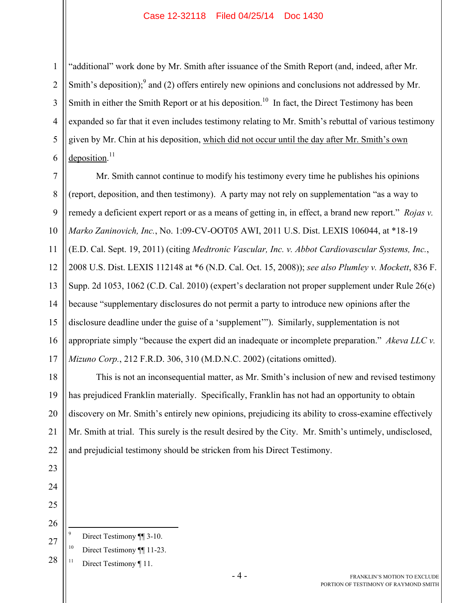#### Case 12-32118 Filed 04/25/14 Doc 1430

1 2 3 4 5 6 "additional" work done by Mr. Smith after issuance of the Smith Report (and, indeed, after Mr. Smith's deposition); and (2) offers entirely new opinions and conclusions not addressed by Mr. Smith in either the Smith Report or at his deposition.<sup>10</sup> In fact, the Direct Testimony has been expanded so far that it even includes testimony relating to Mr. Smith's rebuttal of various testimony given by Mr. Chin at his deposition, which did not occur until the day after Mr. Smith's own deposition.<sup>11</sup>

7 8 9 10 11 12 13 14 15 16 17 Mr. Smith cannot continue to modify his testimony every time he publishes his opinions (report, deposition, and then testimony). A party may not rely on supplementation "as a way to remedy a deficient expert report or as a means of getting in, in effect, a brand new report." *Rojas v. Marko Zaninovich, Inc.*, No. 1:09-CV-OOT05 AWI, 2011 U.S. Dist. LEXIS 106044, at \*18-19 (E.D. Cal. Sept. 19, 2011) (citing *Medtronic Vascular, Inc. v. Abbot Cardiovascular Systems, Inc.*, 2008 U.S. Dist. LEXIS 112148 at \*6 (N.D. Cal. Oct. 15, 2008)); *see also Plumley v. Mockett*, 836 F. Supp. 2d 1053, 1062 (C.D. Cal. 2010) (expert's declaration not proper supplement under Rule 26(e) because "supplementary disclosures do not permit a party to introduce new opinions after the disclosure deadline under the guise of a 'supplement'"). Similarly, supplementation is not appropriate simply "because the expert did an inadequate or incomplete preparation." *Akeva LLC v. Mizuno Corp.*, 212 F.R.D. 306, 310 (M.D.N.C. 2002) (citations omitted).

18 19 20 21 22 This is not an inconsequential matter, as Mr. Smith's inclusion of new and revised testimony has prejudiced Franklin materially. Specifically, Franklin has not had an opportunity to obtain discovery on Mr. Smith's entirely new opinions, prejudicing its ability to cross-examine effectively Mr. Smith at trial. This surely is the result desired by the City. Mr. Smith's untimely, undisclosed, and prejudicial testimony should be stricken from his Direct Testimony.

23 24

25

26

- -<br>9 Direct Testimony ¶¶ 3-10.
- 27 <sup>10</sup> Direct Testimony ¶¶ 11-23.

28 <sup>11</sup> Direct Testimony ¶ 11.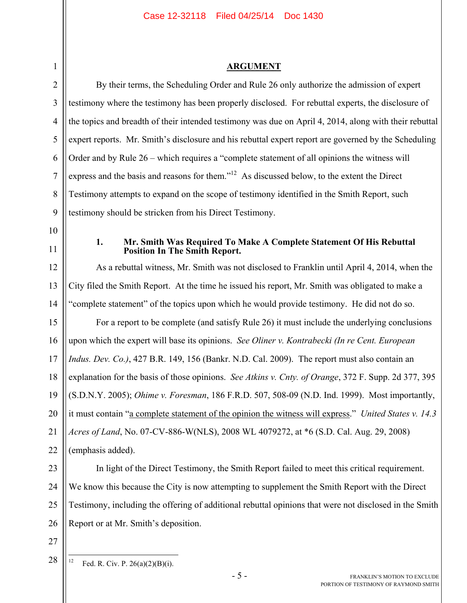## **ARGUMENT**

| <b>ARGUMENT</b>                                                                                                   |  |  |  |  |  |
|-------------------------------------------------------------------------------------------------------------------|--|--|--|--|--|
| By their terms, the Scheduling Order and Rule 26 only authorize the admission of expert                           |  |  |  |  |  |
| testimony where the testimony has been properly disclosed. For rebuttal experts, the disclosure of                |  |  |  |  |  |
| the topics and breadth of their intended testimony was due on April 4, 2014, along with their rebuttal            |  |  |  |  |  |
| expert reports. Mr. Smith's disclosure and his rebuttal expert report are governed by the Scheduling              |  |  |  |  |  |
| Order and by Rule 26 – which requires a "complete statement of all opinions the witness will                      |  |  |  |  |  |
| express and the basis and reasons for them." <sup>12</sup> As discussed below, to the extent the Direct           |  |  |  |  |  |
| Testimony attempts to expand on the scope of testimony identified in the Smith Report, such                       |  |  |  |  |  |
| testimony should be stricken from his Direct Testimony.                                                           |  |  |  |  |  |
|                                                                                                                   |  |  |  |  |  |
| Mr. Smith Was Required To Make A Complete Statement Of His Rebuttal<br>1.<br><b>Position In The Smith Report.</b> |  |  |  |  |  |
| As a rebuttal witness, Mr. Smith was not disclosed to Franklin until April 4, 2014, when the                      |  |  |  |  |  |
| City filed the Smith Report. At the time he issued his report, Mr. Smith was obligated to make a                  |  |  |  |  |  |
| "complete statement" of the topics upon which he would provide testimony. He did not do so.                       |  |  |  |  |  |
| For a report to be complete (and satisfy Rule 26) it must include the underlying conclusions                      |  |  |  |  |  |
| upon which the expert will base its opinions. See Oliner v. Kontrabecki (In re Cent. European                     |  |  |  |  |  |
| Indus. Dev. Co.), 427 B.R. 149, 156 (Bankr. N.D. Cal. 2009). The report must also contain an                      |  |  |  |  |  |
| explanation for the basis of those opinions. See Atkins v. Cnty. of Orange, 372 F. Supp. 2d 377, 395              |  |  |  |  |  |
| (S.D.N.Y. 2005); <i>Ohime v. Foresman</i> , 186 F.R.D. 507, 508-09 (N.D. Ind. 1999). Most importantly,            |  |  |  |  |  |
| it must contain "a complete statement of the opinion the witness will express." United States v. 14.3             |  |  |  |  |  |
| Acres of Land, No. 07-CV-886-W(NLS), 2008 WL 4079272, at *6 (S.D. Cal. Aug. 29, 2008)                             |  |  |  |  |  |
| (emphasis added).                                                                                                 |  |  |  |  |  |
| In light of the Direct Testimony, the Smith Report failed to meet this critical requirement.                      |  |  |  |  |  |
| We know this because the City is now attempting to supplement the Smith Report with the Direct                    |  |  |  |  |  |
| Testimony, including the offering of additional rebuttal opinions that were not disclosed in the Smith            |  |  |  |  |  |
|                                                                                                                   |  |  |  |  |  |

26 Report or at Mr. Smith's deposition.

27 28

 $12$ Fed. R. Civ. P.  $26(a)(2)(B)(i)$ .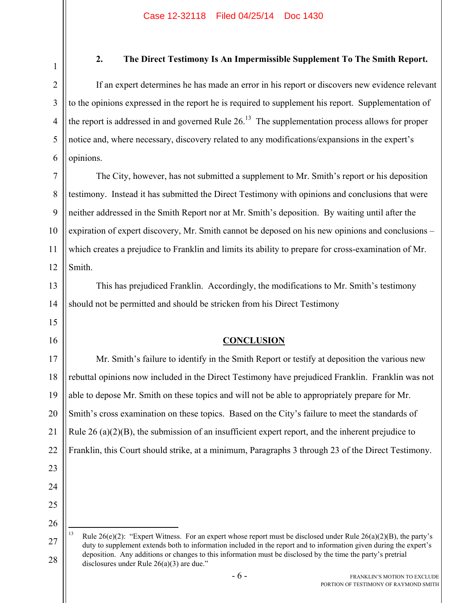1

2

3

4

5

6

13

15

16

23

24

25

26

27

28

# **2. The Direct Testimony Is An Impermissible Supplement To The Smith Report.**

If an expert determines he has made an error in his report or discovers new evidence relevant to the opinions expressed in the report he is required to supplement his report. Supplementation of the report is addressed in and governed Rule  $26<sup>13</sup>$  The supplementation process allows for proper notice and, where necessary, discovery related to any modifications/expansions in the expert's opinions.

7 8 9 10 11 12 The City, however, has not submitted a supplement to Mr. Smith's report or his deposition testimony. Instead it has submitted the Direct Testimony with opinions and conclusions that were neither addressed in the Smith Report nor at Mr. Smith's deposition. By waiting until after the expiration of expert discovery, Mr. Smith cannot be deposed on his new opinions and conclusions – which creates a prejudice to Franklin and limits its ability to prepare for cross-examination of Mr. Smith.

14 This has prejudiced Franklin. Accordingly, the modifications to Mr. Smith's testimony should not be permitted and should be stricken from his Direct Testimony

**CONCLUSION**

17 18 19 20 21 22 Mr. Smith's failure to identify in the Smith Report or testify at deposition the various new rebuttal opinions now included in the Direct Testimony have prejudiced Franklin. Franklin was not able to depose Mr. Smith on these topics and will not be able to appropriately prepare for Mr. Smith's cross examination on these topics. Based on the City's failure to meet the standards of Rule 26 (a) $(2)(B)$ , the submission of an insufficient expert report, and the inherent prejudice to Franklin, this Court should strike, at a minimum, Paragraphs 3 through 23 of the Direct Testimony.

 $13$ Rule 26(e)(2): "Expert Witness. For an expert whose report must be disclosed under Rule 26(a)(2)(B), the party's duty to supplement extends both to information included in the report and to information given during the expert's deposition. Any additions or changes to this information must be disclosed by the time the party's pretrial disclosures under Rule 26(a)(3) are due."